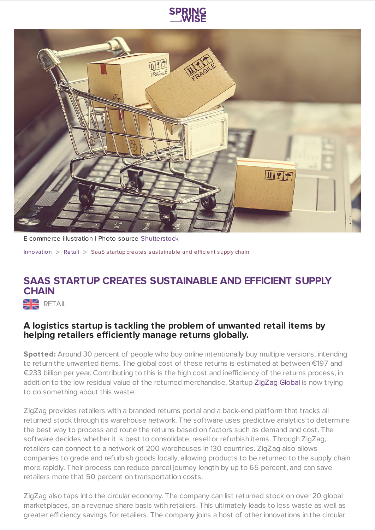



E-commerce illustration | Photo source [Shutterstock](https://www.shutterstock.com/image-photo/paper-boxes-shopping-cart-on-laptop-577492282?src=mYHmKrvbmMUTplDjYwrfEg-1-2)

[Innovation](https://www.springwise.com/search?type=innovation) > [Retail](https://www.springwise.com/search?type=innovation§or=retail) > SaaS s tartup creates sus tainable and efficient supply chain

## **SAAS STARTUP CREATES SUSTAINABLE AND EFFICIENT SUPPLY CHAIN**

**NE** RETAIL

## **A logistics startup is tackling the problem of unwanted retail items by helping retailers efficiently manage returns globally.**

**Spotted:** Around 30 percent of people who buy online intentionally buy multiple versions, intending to return the unwanted items. The global cost of these returns is estimated at between €197 and €233 billion per year. Contributing to this is the high cost and inefficiency of the returns process, in addition to the low residual value of the returned merchandise. Startup [ZigZag](http://www.zigzag.global/) Global is now trying to do something about this waste.

ZigZag provides retailers with a branded returns portal and a back-end platform that tracks all returned stock through its warehouse network. The software uses predictive analytics to determine the best way to process and route the returns based on factors such as demand and cost. The software decides whether it is best to consolidate, resell or refurbish items. Through ZigZag, retailers can connect to a network of 200 warehouses in 130 countries. ZigZag also allows companies to grade and refurbish goods locally, allowing products to be returned to the supply chain more rapidly. Their process can reduce parcel journey length by up to 65 percent, and can save retailers more that 50 percent on transportation costs.

ZigZag also taps into the circular economy. The company can list returned stock on over 20 global marketplaces, on a revenue share basis with retailers. This ultimately leads to less waste as well as greater efficiency savings for retailers. The company joins a host of other innovations in the circular